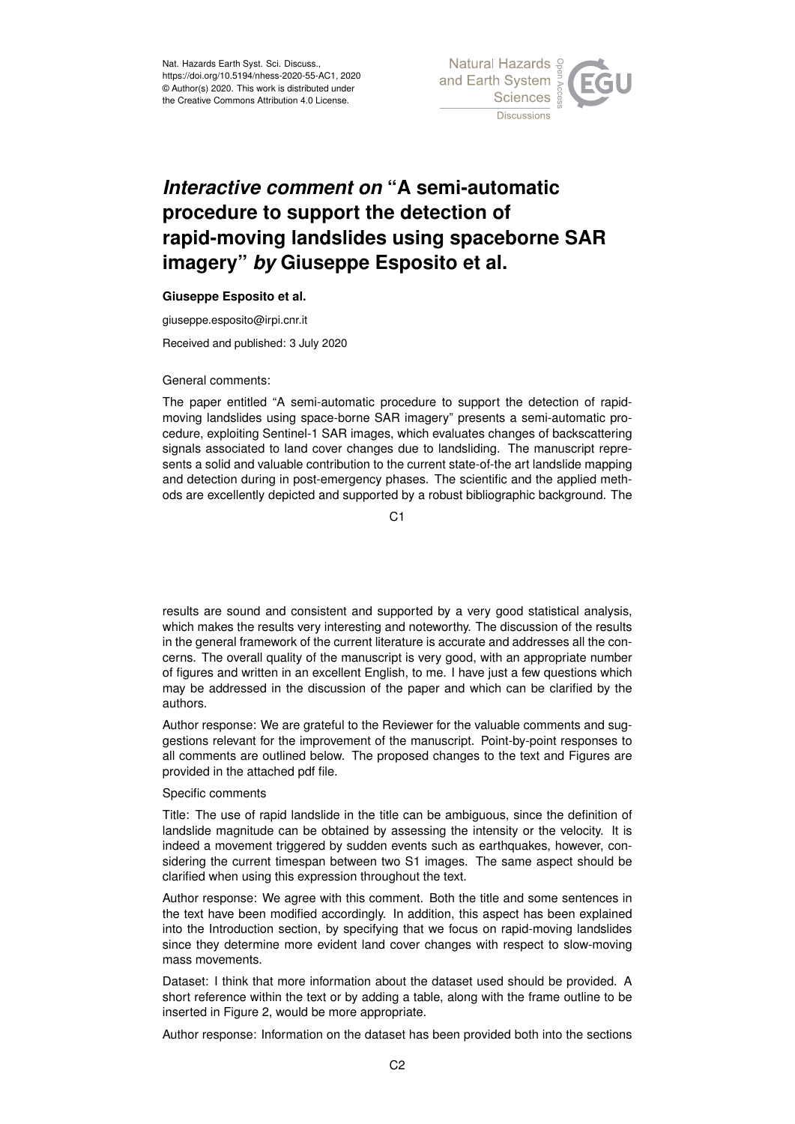

## *Interactive comment on* **"A semi-automatic procedure to support the detection of rapid-moving landslides using spaceborne SAR imagery"** *by* **Giuseppe Esposito et al.**

## **Giuseppe Esposito et al.**

giuseppe.esposito@irpi.cnr.it

Received and published: 3 July 2020

General comments:

The paper entitled "A semi-automatic procedure to support the detection of rapidmoving landslides using space-borne SAR imagery" presents a semi-automatic procedure, exploiting Sentinel-1 SAR images, which evaluates changes of backscattering signals associated to land cover changes due to landsliding. The manuscript represents a solid and valuable contribution to the current state-of-the art landslide mapping and detection during in post-emergency phases. The scientific and the applied methods are excellently depicted and supported by a robust bibliographic background. The

C1

results are sound and consistent and supported by a very good statistical analysis, which makes the results very interesting and noteworthy. The discussion of the results in the general framework of the current literature is accurate and addresses all the concerns. The overall quality of the manuscript is very good, with an appropriate number of figures and written in an excellent English, to me. I have just a few questions which may be addressed in the discussion of the paper and which can be clarified by the authors.

Author response: We are grateful to the Reviewer for the valuable comments and suggestions relevant for the improvement of the manuscript. Point-by-point responses to all comments are outlined below. The proposed changes to the text and Figures are provided in the attached pdf file.

## Specific comments

Title: The use of rapid landslide in the title can be ambiguous, since the definition of landslide magnitude can be obtained by assessing the intensity or the velocity. It is indeed a movement triggered by sudden events such as earthquakes, however, considering the current timespan between two S1 images. The same aspect should be clarified when using this expression throughout the text.

Author response: We agree with this comment. Both the title and some sentences in the text have been modified accordingly. In addition, this aspect has been explained into the Introduction section, by specifying that we focus on rapid-moving landslides since they determine more evident land cover changes with respect to slow-moving mass movements.

Dataset: I think that more information about the dataset used should be provided. A short reference within the text or by adding a table, along with the frame outline to be inserted in Figure 2, would be more appropriate.

Author response: Information on the dataset has been provided both into the sections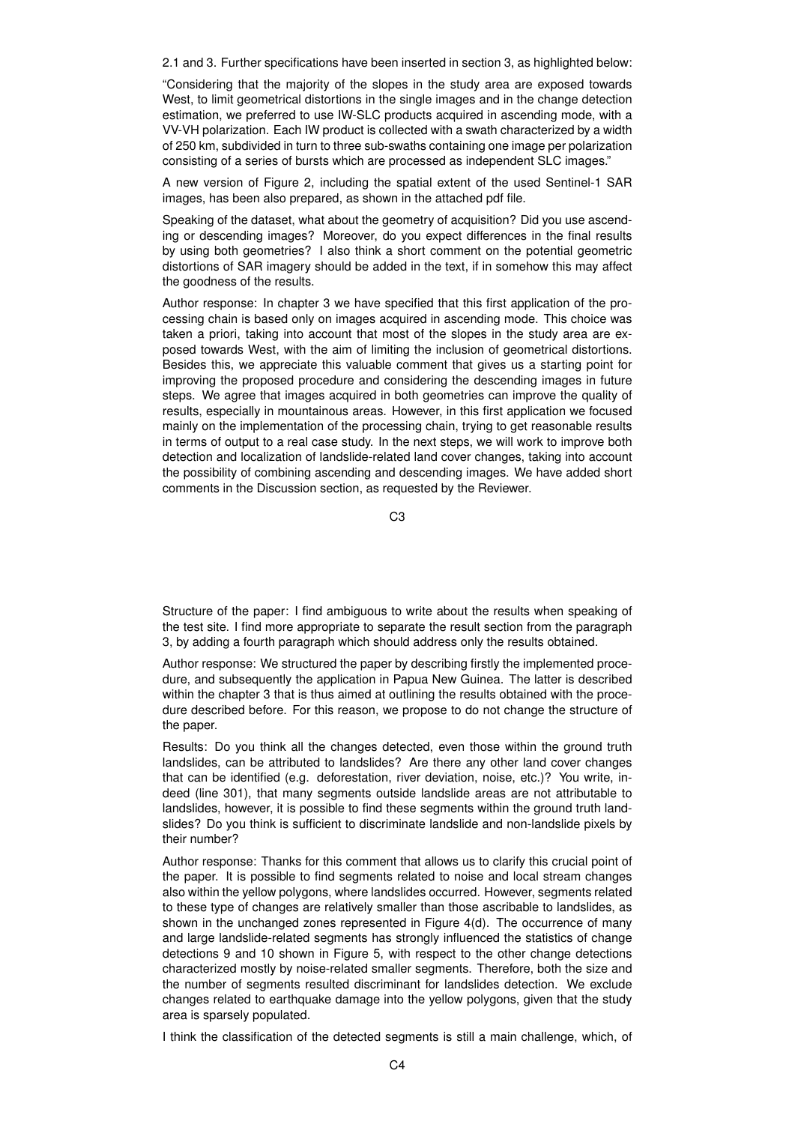2.1 and 3. Further specifications have been inserted in section 3, as highlighted below:

"Considering that the majority of the slopes in the study area are exposed towards West, to limit geometrical distortions in the single images and in the change detection estimation, we preferred to use IW-SLC products acquired in ascending mode, with a VV-VH polarization. Each IW product is collected with a swath characterized by a width of 250 km, subdivided in turn to three sub-swaths containing one image per polarization consisting of a series of bursts which are processed as independent SLC images."

A new version of Figure 2, including the spatial extent of the used Sentinel-1 SAR images, has been also prepared, as shown in the attached pdf file.

Speaking of the dataset, what about the geometry of acquisition? Did you use ascending or descending images? Moreover, do you expect differences in the final results by using both geometries? I also think a short comment on the potential geometric distortions of SAR imagery should be added in the text, if in somehow this may affect the goodness of the results.

Author response: In chapter 3 we have specified that this first application of the processing chain is based only on images acquired in ascending mode. This choice was taken a priori, taking into account that most of the slopes in the study area are exposed towards West, with the aim of limiting the inclusion of geometrical distortions. Besides this, we appreciate this valuable comment that gives us a starting point for improving the proposed procedure and considering the descending images in future steps. We agree that images acquired in both geometries can improve the quality of results, especially in mountainous areas. However, in this first application we focused mainly on the implementation of the processing chain, trying to get reasonable results in terms of output to a real case study. In the next steps, we will work to improve both detection and localization of landslide-related land cover changes, taking into account the possibility of combining ascending and descending images. We have added short comments in the Discussion section, as requested by the Reviewer.

C3

Structure of the paper: I find ambiguous to write about the results when speaking of the test site. I find more appropriate to separate the result section from the paragraph 3, by adding a fourth paragraph which should address only the results obtained.

Author response: We structured the paper by describing firstly the implemented procedure, and subsequently the application in Papua New Guinea. The latter is described within the chapter 3 that is thus aimed at outlining the results obtained with the procedure described before. For this reason, we propose to do not change the structure of the paper.

Results: Do you think all the changes detected, even those within the ground truth landslides, can be attributed to landslides? Are there any other land cover changes that can be identified (e.g. deforestation, river deviation, noise, etc.)? You write, indeed (line 301), that many segments outside landslide areas are not attributable to landslides, however, it is possible to find these segments within the ground truth landslides? Do you think is sufficient to discriminate landslide and non-landslide pixels by their number?

Author response: Thanks for this comment that allows us to clarify this crucial point of the paper. It is possible to find segments related to noise and local stream changes also within the yellow polygons, where landslides occurred. However, segments related to these type of changes are relatively smaller than those ascribable to landslides, as shown in the unchanged zones represented in Figure 4(d). The occurrence of many and large landslide-related segments has strongly influenced the statistics of change detections 9 and 10 shown in Figure 5, with respect to the other change detections characterized mostly by noise-related smaller segments. Therefore, both the size and the number of segments resulted discriminant for landslides detection. We exclude changes related to earthquake damage into the yellow polygons, given that the study area is sparsely populated.

I think the classification of the detected segments is still a main challenge, which, of